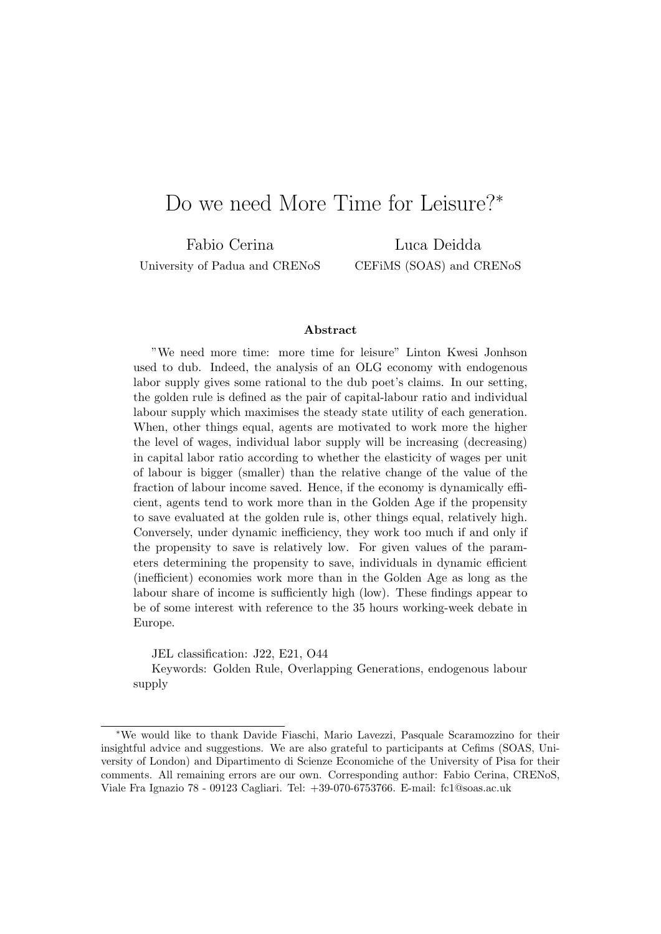# Do we need More Time for Leisure?<sup>∗</sup>

Fabio Cerina University of Padua and CRENoS

Luca Deidda CEFiMS (SOAS) and CRENoS

#### Abstract

"We need more time: more time for leisure" Linton Kwesi Jonhson used to dub. Indeed, the analysis of an OLG economy with endogenous labor supply gives some rational to the dub poet's claims. In our setting, the golden rule is defined as the pair of capital-labour ratio and individual labour supply which maximises the steady state utility of each generation. When, other things equal, agents are motivated to work more the higher the level of wages, individual labor supply will be increasing (decreasing) in capital labor ratio according to whether the elasticity of wages per unit of labour is bigger (smaller) than the relative change of the value of the fraction of labour income saved. Hence, if the economy is dynamically efficient, agents tend to work more than in the Golden Age if the propensity to save evaluated at the golden rule is, other things equal, relatively high. Conversely, under dynamic inefficiency, they work too much if and only if the propensity to save is relatively low. For given values of the parameters determining the propensity to save, individuals in dynamic efficient (inefficient) economies work more than in the Golden Age as long as the labour share of income is sufficiently high (low). These findings appear to be of some interest with reference to the 35 hours working-week debate in Europe.

JEL classification: J22, E21, O44

Keywords: Golden Rule, Overlapping Generations, endogenous labour supply

<sup>∗</sup>We would like to thank Davide Fiaschi, Mario Lavezzi, Pasquale Scaramozzino for their insightful advice and suggestions. We are also grateful to participants at Cefims (SOAS, University of London) and Dipartimento di Scienze Economiche of the University of Pisa for their comments. All remaining errors are our own. Corresponding author: Fabio Cerina, CRENoS, Viale Fra Ignazio 78 - 09123 Cagliari. Tel: +39-070-6753766. E-mail: fc1@soas.ac.uk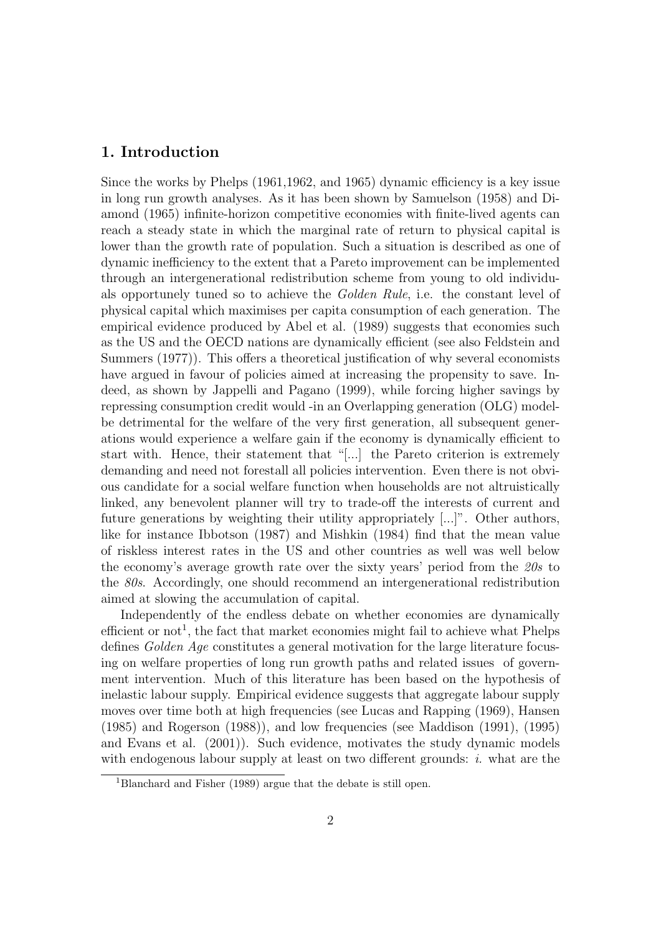### 1. Introduction

Since the works by Phelps (1961,1962, and 1965) dynamic efficiency is a key issue in long run growth analyses. As it has been shown by Samuelson (1958) and Diamond (1965) infinite-horizon competitive economies with finite-lived agents can reach a steady state in which the marginal rate of return to physical capital is lower than the growth rate of population. Such a situation is described as one of dynamic inefficiency to the extent that a Pareto improvement can be implemented through an intergenerational redistribution scheme from young to old individuals opportunely tuned so to achieve the Golden Rule, i.e. the constant level of physical capital which maximises per capita consumption of each generation. The empirical evidence produced by Abel et al. (1989) suggests that economies such as the US and the OECD nations are dynamically efficient (see also Feldstein and Summers (1977)). This offers a theoretical justification of why several economists have argued in favour of policies aimed at increasing the propensity to save. Indeed, as shown by Jappelli and Pagano (1999), while forcing higher savings by repressing consumption credit would -in an Overlapping generation (OLG) modelbe detrimental for the welfare of the very first generation, all subsequent generations would experience a welfare gain if the economy is dynamically efficient to start with. Hence, their statement that "[...] the Pareto criterion is extremely demanding and need not forestall all policies intervention. Even there is not obvious candidate for a social welfare function when households are not altruistically linked, any benevolent planner will try to trade-off the interests of current and future generations by weighting their utility appropriately [...]". Other authors, like for instance Ibbotson (1987) and Mishkin (1984) find that the mean value of riskless interest rates in the US and other countries as well was well below the economy's average growth rate over the sixty years' period from the 20s to the 80s. Accordingly, one should recommend an intergenerational redistribution aimed at slowing the accumulation of capital.

Independently of the endless debate on whether economies are dynamically efficient or not<sup>1</sup>, the fact that market economies might fail to achieve what Phelps defines Golden Age constitutes a general motivation for the large literature focusing on welfare properties of long run growth paths and related issues of government intervention. Much of this literature has been based on the hypothesis of inelastic labour supply. Empirical evidence suggests that aggregate labour supply moves over time both at high frequencies (see Lucas and Rapping (1969), Hansen (1985) and Rogerson (1988)), and low frequencies (see Maddison (1991), (1995) and Evans et al. (2001)). Such evidence, motivates the study dynamic models with endogenous labour supply at least on two different grounds:  $i$ , what are the

<sup>1</sup>Blanchard and Fisher (1989) argue that the debate is still open.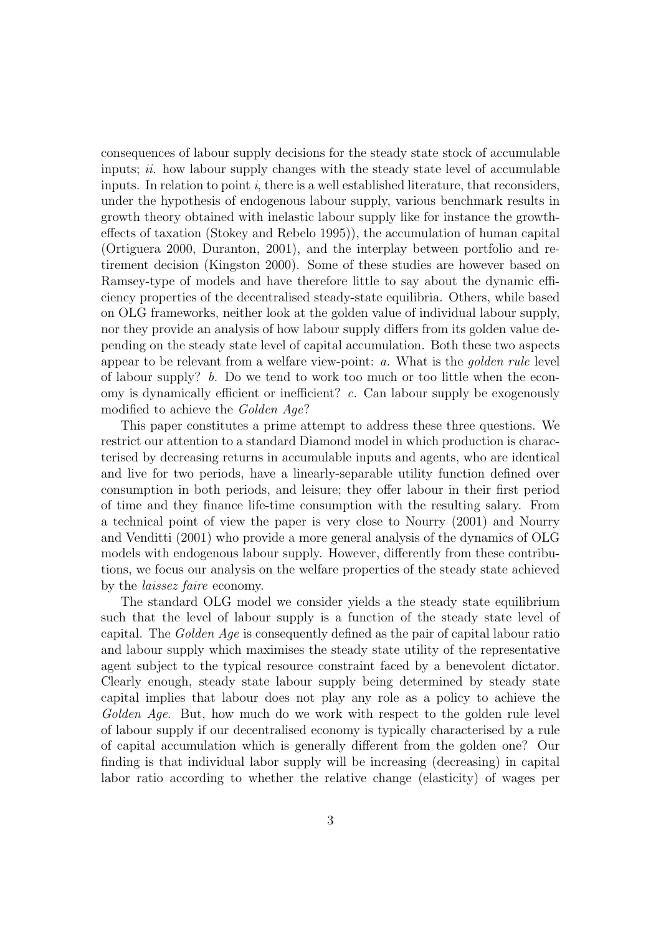consequences of labour supply decisions for the steady state stock of accumulable inputs;  $ii$ . how labour supply changes with the steady state level of accumulable inputs. In relation to point  $i$ , there is a well established literature, that reconsiders, under the hypothesis of endogenous labour supply, various benchmark results in growth theory obtained with inelastic labour supply like for instance the growtheffects of taxation (Stokey and Rebelo 1995)), the accumulation of human capital (Ortiguera 2000, Duranton, 2001), and the interplay between portfolio and retirement decision (Kingston 2000). Some of these studies are however based on Ramsey-type of models and have therefore little to say about the dynamic efficiency properties of the decentralised steady-state equilibria. Others, while based on OLG frameworks, neither look at the golden value of individual labour supply, nor they provide an analysis of how labour supply differs from its golden value depending on the steady state level of capital accumulation. Both these two aspects appear to be relevant from a welfare view-point: a. What is the golden rule level of labour supply? b. Do we tend to work too much or too little when the economy is dynamically efficient or inefficient? c. Can labour supply be exogenously modified to achieve the *Golden Age*?

This paper constitutes a prime attempt to address these three questions. We restrict our attention to a standard Diamond model in which production is characterised by decreasing returns in accumulable inputs and agents, who are identical and live for two periods, have a linearly-separable utility function defined over consumption in both periods, and leisure; they offer labour in their first period of time and they finance life-time consumption with the resulting salary. From a technical point of view the paper is very close to Nourry (2001) and Nourry and Venditti (2001) who provide a more general analysis of the dynamics of OLG models with endogenous labour supply. However, differently from these contributions, we focus our analysis on the welfare properties of the steady state achieved by the laissez faire economy.

The standard OLG model we consider yields a the steady state equilibrium such that the level of labour supply is a function of the steady state level of capital. The Golden Age is consequently defined as the pair of capital labour ratio and labour supply which maximises the steady state utility of the representative agent subject to the typical resource constraint faced by a benevolent dictator. Clearly enough, steady state labour supply being determined by steady state capital implies that labour does not play any role as a policy to achieve the Golden Age. But, how much do we work with respect to the golden rule level of labour supply if our decentralised economy is typically characterised by a rule of capital accumulation which is generally different from the golden one? Our finding is that individual labor supply will be increasing (decreasing) in capital labor ratio according to whether the relative change (elasticity) of wages per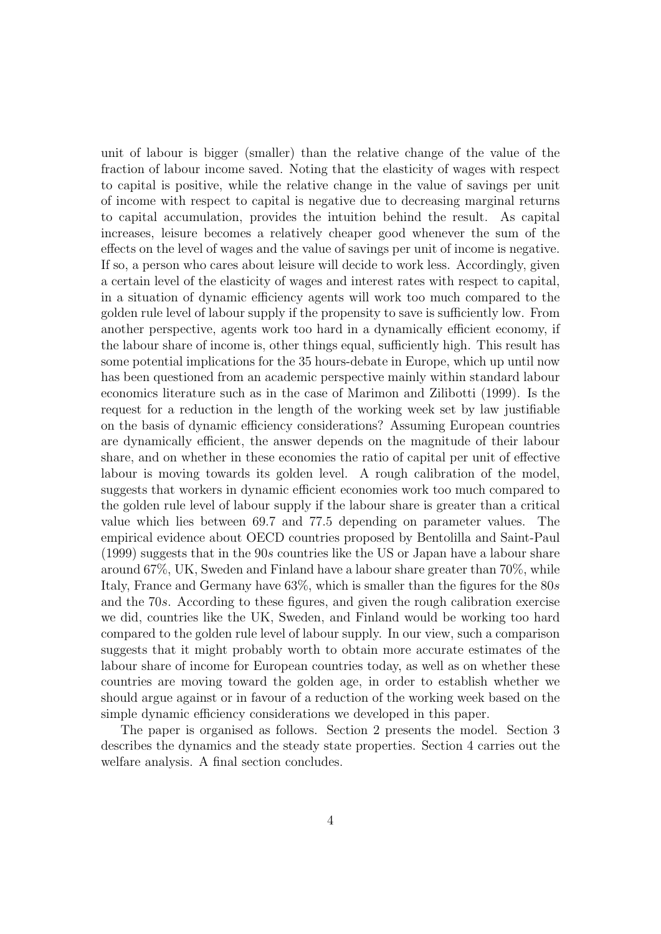unit of labour is bigger (smaller) than the relative change of the value of the fraction of labour income saved. Noting that the elasticity of wages with respect to capital is positive, while the relative change in the value of savings per unit of income with respect to capital is negative due to decreasing marginal returns to capital accumulation, provides the intuition behind the result. As capital increases, leisure becomes a relatively cheaper good whenever the sum of the effects on the level of wages and the value of savings per unit of income is negative. If so, a person who cares about leisure will decide to work less. Accordingly, given a certain level of the elasticity of wages and interest rates with respect to capital, in a situation of dynamic efficiency agents will work too much compared to the golden rule level of labour supply if the propensity to save is sufficiently low. From another perspective, agents work too hard in a dynamically efficient economy, if the labour share of income is, other things equal, sufficiently high. This result has some potential implications for the 35 hours-debate in Europe, which up until now has been questioned from an academic perspective mainly within standard labour economics literature such as in the case of Marimon and Zilibotti (1999). Is the request for a reduction in the length of the working week set by law justifiable on the basis of dynamic efficiency considerations? Assuming European countries are dynamically efficient, the answer depends on the magnitude of their labour share, and on whether in these economies the ratio of capital per unit of effective labour is moving towards its golden level. A rough calibration of the model, suggests that workers in dynamic efficient economies work too much compared to the golden rule level of labour supply if the labour share is greater than a critical value which lies between 69.7 and 77.5 depending on parameter values. The empirical evidence about OECD countries proposed by Bentolilla and Saint-Paul (1999) suggests that in the 90s countries like the US or Japan have a labour share around 67%, UK, Sweden and Finland have a labour share greater than 70%, while Italy, France and Germany have  $63\%$ , which is smaller than the figures for the  $80s$ and the 70s. According to these figures, and given the rough calibration exercise we did, countries like the UK, Sweden, and Finland would be working too hard compared to the golden rule level of labour supply. In our view, such a comparison suggests that it might probably worth to obtain more accurate estimates of the labour share of income for European countries today, as well as on whether these countries are moving toward the golden age, in order to establish whether we should argue against or in favour of a reduction of the working week based on the simple dynamic efficiency considerations we developed in this paper.

The paper is organised as follows. Section 2 presents the model. Section 3 describes the dynamics and the steady state properties. Section 4 carries out the welfare analysis. A final section concludes.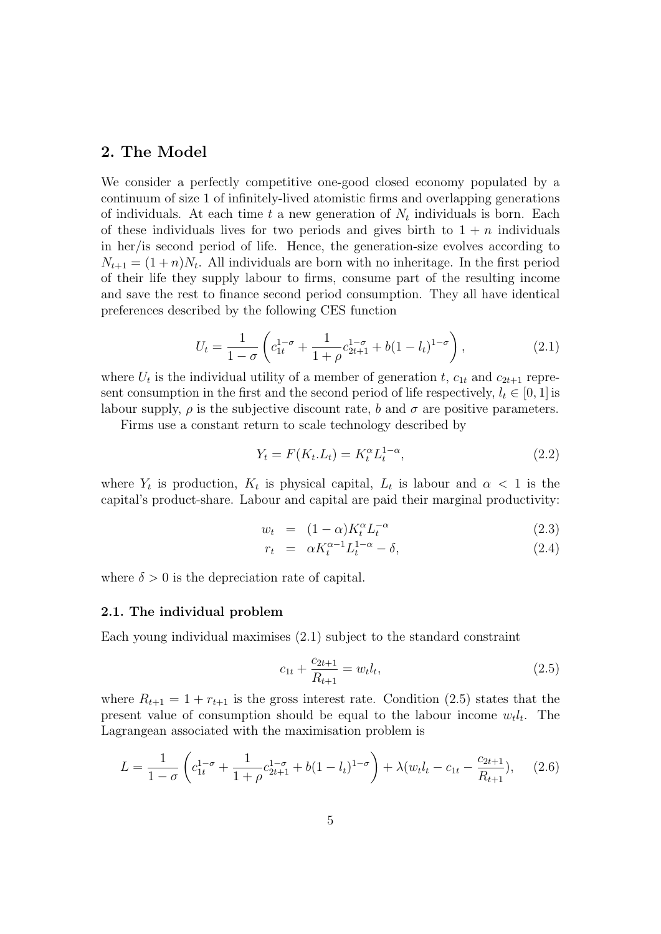### 2. The Model

We consider a perfectly competitive one-good closed economy populated by a continuum of size 1 of infinitely-lived atomistic firms and overlapping generations of individuals. At each time t a new generation of  $N_t$  individuals is born. Each of these individuals lives for two periods and gives birth to  $1 + n$  individuals in her/is second period of life. Hence, the generation-size evolves according to  $N_{t+1} = (1+n)N_t$ . All individuals are born with no inheritage. In the first period of their life they supply labour to firms, consume part of the resulting income and save the rest to finance second period consumption. They all have identical preferences described by the following CES function

$$
U_t = \frac{1}{1 - \sigma} \left( c_{1t}^{1 - \sigma} + \frac{1}{1 + \rho} c_{2t + 1}^{1 - \sigma} + b(1 - l_t)^{1 - \sigma} \right),\tag{2.1}
$$

where  $U_t$  is the individual utility of a member of generation t,  $c_{1t}$  and  $c_{2t+1}$  represent consumption in the first and the second period of life respectively,  $l_t \in [0, 1]$  is labour supply,  $\rho$  is the subjective discount rate, b and  $\sigma$  are positive parameters.

Firms use a constant return to scale technology described by

$$
Y_t = F(K_t L_t) = K_t^{\alpha} L_t^{1-\alpha},
$$
\n(2.2)

where  $Y_t$  is production,  $K_t$  is physical capital,  $L_t$  is labour and  $\alpha < 1$  is the capital's product-share. Labour and capital are paid their marginal productivity:

$$
w_t = (1 - \alpha)K_t^{\alpha} L_t^{-\alpha} \tag{2.3}
$$

$$
r_t = \alpha K_t^{\alpha - 1} L_t^{1 - \alpha} - \delta,\tag{2.4}
$$

where  $\delta > 0$  is the depreciation rate of capital.

#### 2.1. The individual problem

Each young individual maximises (2.1) subject to the standard constraint

$$
c_{1t} + \frac{c_{2t+1}}{R_{t+1}} = w_t l_t, \tag{2.5}
$$

where  $R_{t+1} = 1 + r_{t+1}$  is the gross interest rate. Condition (2.5) states that the present value of consumption should be equal to the labour income  $w_t l_t$ . The Lagrangean associated with the maximisation problem is

$$
L = \frac{1}{1 - \sigma} \left( c_{1t}^{1 - \sigma} + \frac{1}{1 + \rho} c_{2t+1}^{1 - \sigma} + b(1 - l_t)^{1 - \sigma} \right) + \lambda (w_t l_t - c_{1t} - \frac{c_{2t+1}}{R_{t+1}}), \quad (2.6)
$$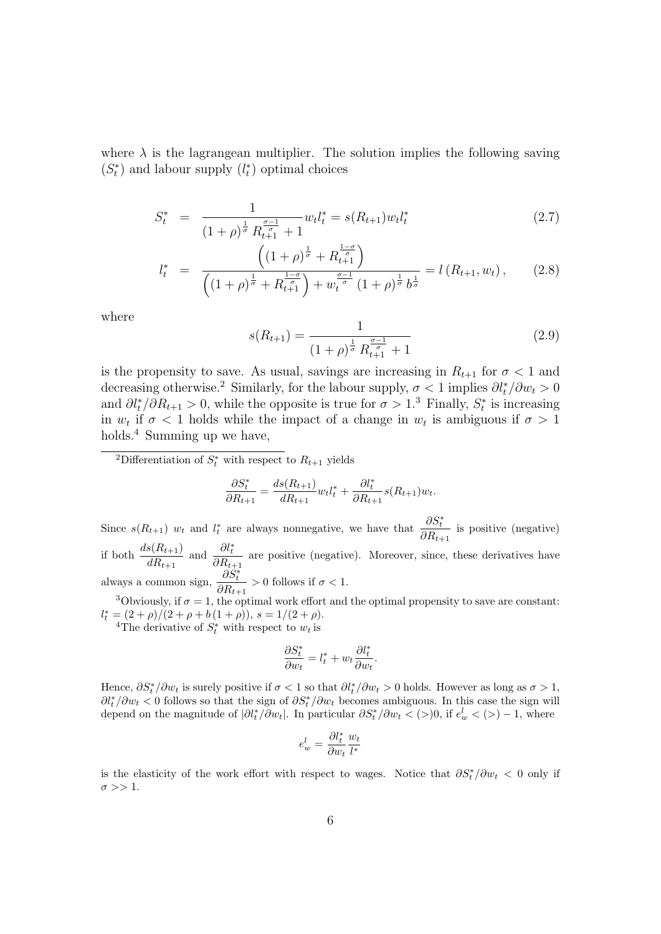where  $\lambda$  is the lagrangean multiplier. The solution implies the following saving  $(S_t^*)$  and labour supply  $(l_t^*)$  optimal choices

$$
S_t^* = \frac{1}{(1+\rho)^{\frac{1}{\sigma}} R_{t+1}^{\frac{\sigma-1}{\sigma}} + 1} w_t l_t^* = s(R_{t+1}) w_t l_t^* \tag{2.7}
$$

$$
l_t^* = \frac{\left((1+\rho)^{\frac{1}{\sigma}} + R_{t+1}^{\frac{1-\sigma}{\sigma}}\right)}{\left((1+\rho)^{\frac{1}{\sigma}} + R_{t+1}^{\frac{1-\sigma}{\sigma}}\right) + w_t^{\frac{\sigma-1}{\sigma}}(1+\rho)^{\frac{1}{\sigma}}b^{\frac{1}{\sigma}}} = l\left(R_{t+1}, w_t\right),\tag{2.8}
$$

where

$$
s(R_{t+1}) = \frac{1}{(1+\rho)^{\frac{1}{\sigma}} R_{t+1}^{\frac{\sigma-1}{\sigma}} + 1}
$$
\n(2.9)

is the propensity to save. As usual, savings are increasing in  $R_{t+1}$  for  $\sigma < 1$  and decreasing otherwise.<sup>2</sup> Similarly, for the labour supply,  $\sigma < 1$  implies  $\partial l_t^* / \partial w_t > 0$ and  $\partial l_t^*/\partial R_{t+1} > 0$ , while the opposite is true for  $\sigma > 1$ .<sup>3</sup> Finally,  $S_t^*$  is increasing in  $w_t$  if  $\sigma < 1$  holds while the impact of a change in  $w_t$  is ambiguous if  $\sigma > 1$ holds.<sup>4</sup> Summing up we have,

<sup>2</sup>Differentiation of  $S_t^*$  with respect to  $R_{t+1}$  yields

$$
\frac{\partial S_t^*}{\partial R_{t+1}} = \frac{ds(R_{t+1})}{dR_{t+1}} w_t l_t^* + \frac{\partial l_t^*}{\partial R_{t+1}} s(R_{t+1}) w_t.
$$

Since  $s(R_{t+1})$   $w_t$  and  $l_t^*$  are always nonnegative, we have that  $\frac{\partial S_t^*}{\partial P}$  $\frac{\partial \mathcal{D}_t}{\partial R_{t+1}}$  is positive (negative) if both  $\frac{ds(R_{t+1})}{dR_{t+1}}$  and  $\frac{\partial l_t^*}{\partial R_{t+1}}$  $\frac{\partial u_t}{\partial R_{t+1}}$  are positive (negative). Moreover, since, these derivatives have always a common sign,  $\frac{\partial S_t^*}{\partial P}$  $\frac{\partial \mathcal{D}_t}{\partial R_{t+1}} > 0$  follows if  $\sigma < 1$ .

<sup>3</sup>Obviously, if  $\sigma = 1$ , the optimal work effort and the optimal propensity to save are constant:  $l_t^* = (2+\rho)/(2+\rho+b(1+\rho)), s = 1/(2+\rho).$ 

<sup>4</sup>The derivative of  $S_t^*$  with respect to  $w_t$  is

$$
\frac{\partial S^*_t}{\partial w_t} = l^*_t + w_t \frac{\partial l^*_t}{\partial w_t}.
$$

Hence,  $\partial S_t^*/\partial w_t$  is surely positive if  $\sigma < 1$  so that  $\partial l_t^*/\partial w_t > 0$  holds. However as long as  $\sigma > 1$ ,  $\partial l_t^*/\partial w_t < 0$  follows so that the sign of  $\partial S_t^*/\partial w_t$  becomes ambiguous. In this case the sign will depend on the magnitude of  $|\partial l_t^*/\partial w_t|$ . In particular  $\partial S_t^*/\partial w_t < (0)$ , if  $e_w^l < (0) - 1$ , where

$$
e^l_w=\frac{\partial l^*_t}{\partial w_t}\frac{w_t}{l^*}
$$

is the elasticity of the work effort with respect to wages. Notice that  $\partial S_t^* / \partial w_t < 0$  only if  $\sigma >> 1$ .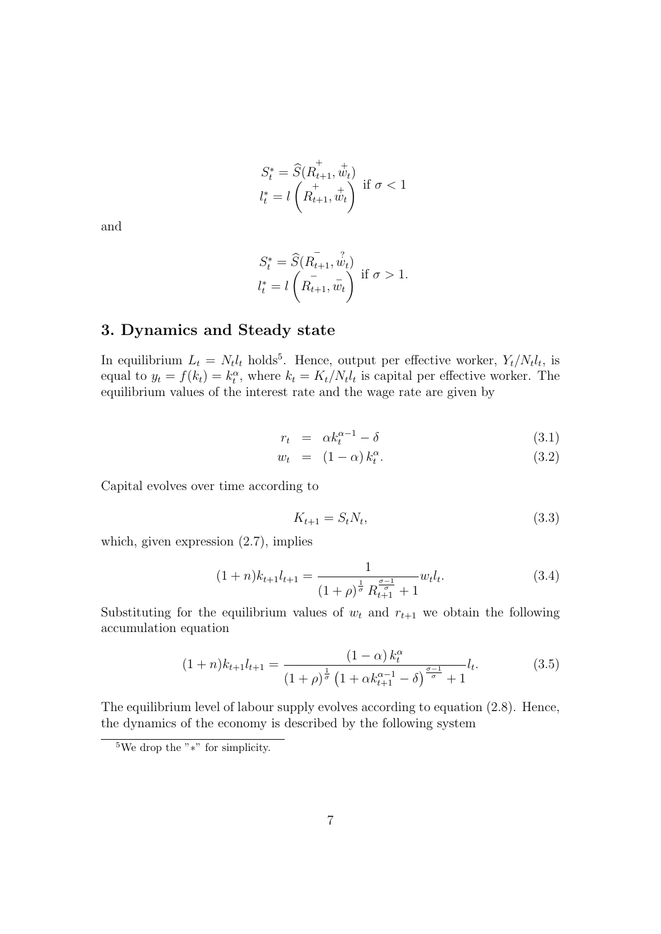$$
S_t^* = \widehat{S}(R_{t+1}^+, \dot{w}_t)
$$
  

$$
l_t^* = l\left(R_{t+1}^+, \dot{w}_t\right)
$$
 if  $\sigma < 1$ 

and

$$
S_t^* = \widehat{S}(R_{t+1}, \hat{w}_t) \n l_t^* = l\left(R_{t+1}, \hat{w}_t\right) \text{ if } \sigma > 1.
$$

### 3. Dynamics and Steady state

In equilibrium  $L_t = N_t l_t$  holds<sup>5</sup>. Hence, output per effective worker,  $Y_t/N_t l_t$ , is equal to  $y_t = f(k_t) = k_t^{\alpha}$ , where  $k_t = K_t/N_t l_t$  is capital per effective worker. The equilibrium values of the interest rate and the wage rate are given by

$$
r_t = \alpha k_t^{\alpha - 1} - \delta \tag{3.1}
$$

$$
w_t = (1 - \alpha) k_t^{\alpha}.
$$
\n
$$
(3.2)
$$

Capital evolves over time according to

$$
K_{t+1} = S_t N_t,\tag{3.3}
$$

which, given expression  $(2.7)$ , implies

$$
(1+n)k_{t+1}l_{t+1} = \frac{1}{(1+\rho)^{\frac{1}{\sigma}}R_{t+1}^{\frac{\sigma-1}{\sigma}}+1}w_t l_t.
$$
\n(3.4)

Substituting for the equilibrium values of  $w_t$  and  $r_{t+1}$  we obtain the following accumulation equation

$$
(1+n)k_{t+1}l_{t+1} = \frac{(1-\alpha)k_t^{\alpha}}{(1+\rho)^{\frac{1}{\sigma}}\left(1+\alpha k_{t+1}^{\alpha-1}-\delta\right)^{\frac{\sigma-1}{\sigma}}+1}l_t.
$$
(3.5)

The equilibrium level of labour supply evolves according to equation (2.8). Hence, the dynamics of the economy is described by the following system

<sup>5</sup>We drop the "∗" for simplicity.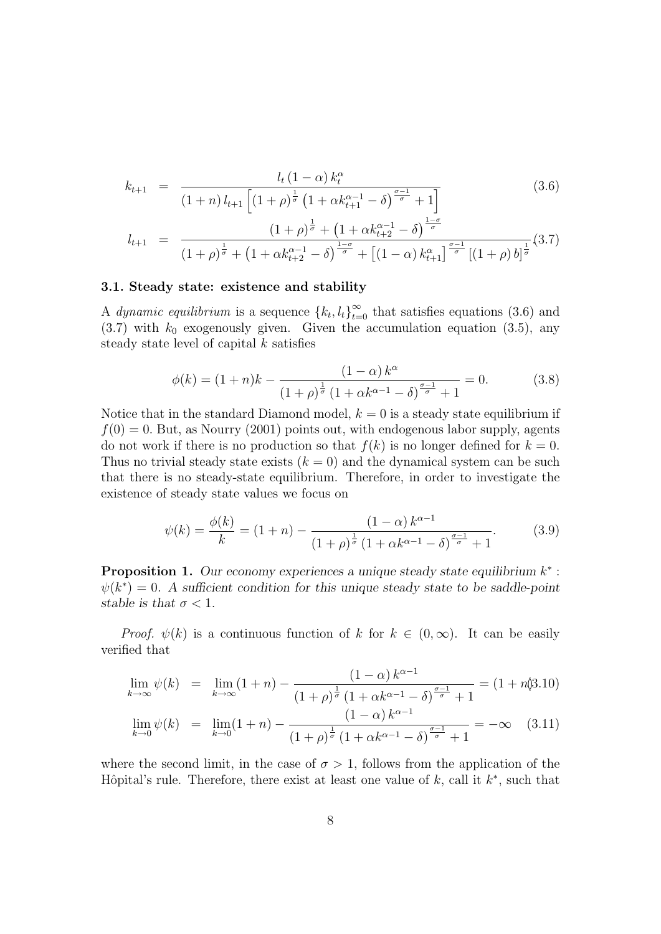$$
k_{t+1} = \frac{l_t (1-\alpha) k_t^{\alpha}}{(1+n) l_{t+1} \left[ (1+\rho)^{\frac{1}{\sigma}} \left( 1 + \alpha k_{t+1}^{\alpha-1} - \delta \right)^{\frac{\sigma-1}{\sigma}} + 1 \right]}
$$
(3.6)

$$
l_{t+1} = \frac{\left(1+\rho\right)^{\frac{1}{\sigma}} + \left(1+\alpha k_{t+2}^{\alpha-1} - \delta\right)^{\frac{1-\sigma}{\sigma}}}{\left(1+\rho\right)^{\frac{1}{\sigma}} + \left(1+\alpha k_{t+2}^{\alpha-1} - \delta\right)^{\frac{1-\sigma}{\sigma}} + \left[\left(1-\alpha\right)k_{t+1}^{\alpha}\right]^{\frac{\sigma-1}{\sigma}}\left[\left(1+\rho\right)b\right]^{\frac{1}{\sigma}}}\tag{3.7}
$$

#### 3.1. Steady state: existence and stability

A dynamic equilibrium is a sequence  ${k_t, l_t}_{t=0}^{\infty}$  that satisfies equations (3.6) and  $(3.7)$  with  $k_0$  exogenously given. Given the accumulation equation  $(3.5)$ , any steady state level of capital  $k$  satisfies

$$
\phi(k) = (1+n)k - \frac{(1-\alpha)k^{\alpha}}{(1+\rho)^{\frac{1}{\sigma}}(1+\alpha k^{\alpha-1}-\delta)^{\frac{\sigma-1}{\sigma}}+1} = 0.
$$
 (3.8)

Notice that in the standard Diamond model,  $k = 0$  is a steady state equilibrium if  $f(0) = 0$ . But, as Nourry (2001) points out, with endogenous labor supply, agents do not work if there is no production so that  $f(k)$  is no longer defined for  $k = 0$ . Thus no trivial steady state exists  $(k = 0)$  and the dynamical system can be such that there is no steady-state equilibrium. Therefore, in order to investigate the existence of steady state values we focus on

$$
\psi(k) = \frac{\phi(k)}{k} = (1+n) - \frac{(1-\alpha)k^{\alpha-1}}{(1+\rho)^{\frac{1}{\sigma}}(1+\alpha k^{\alpha-1}-\delta)^{\frac{\sigma-1}{\sigma}}+1}.
$$
(3.9)

**Proposition 1.** Our economy experiences a unique steady state equilibrium  $k^*$ :  $\psi(k^*) = 0$ . A sufficient condition for this unique steady state to be saddle-point stable is that  $\sigma < 1$ .

*Proof.*  $\psi(k)$  is a continuous function of k for  $k \in (0,\infty)$ . It can be easily verified that

$$
\lim_{k \to \infty} \psi(k) = \lim_{k \to \infty} (1+n) - \frac{(1-\alpha)k^{\alpha-1}}{(1+\rho)^{\frac{1}{\sigma}}(1+\alpha k^{\alpha-1}-\delta)^{\frac{\sigma-1}{\sigma}}+1} = (1+n\text{\textdegree}(3.10))
$$

$$
\lim_{k \to 0} \psi(k) = \lim_{k \to 0} (1+n) - \frac{(1-\alpha)k^{\alpha-1}}{(1+\rho)^{\frac{1}{\sigma}}(1+\alpha k^{\alpha-1}-\delta)^{\frac{\sigma-1}{\sigma}}+1} = -\infty \quad (3.11)
$$

where the second limit, in the case of  $\sigma > 1$ , follows from the application of the Hôpital's rule. Therefore, there exist at least one value of  $k$ , call it  $k^*$ , such that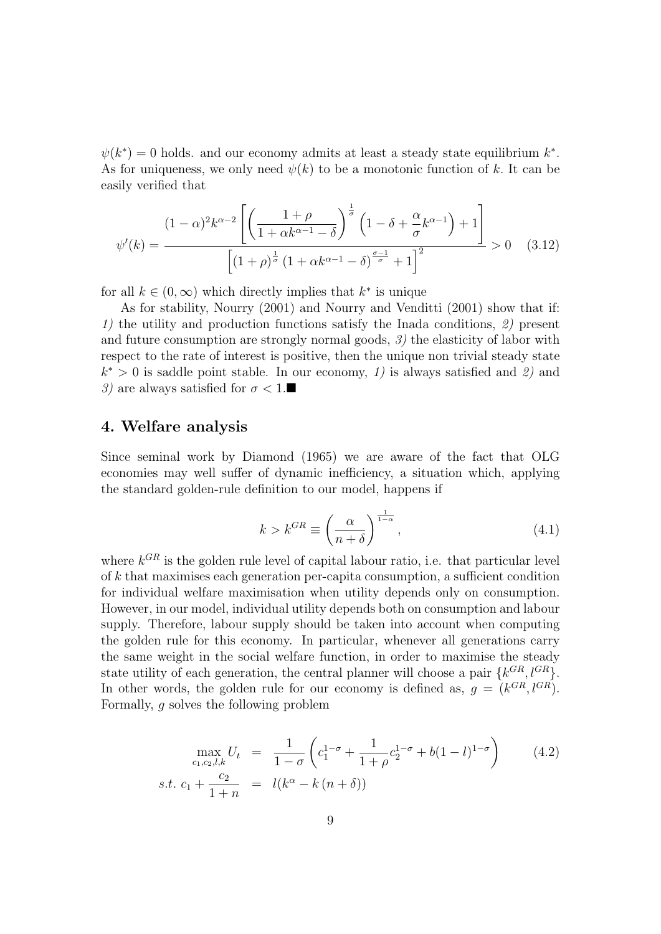$\psi(k^*) = 0$  holds. and our economy admits at least a steady state equilibrium  $k^*$ . As for uniqueness, we only need  $\psi(k)$  to be a monotonic function of k. It can be easily verified that

$$
\psi'(k) = \frac{(1-\alpha)^2 k^{\alpha-2} \left[ \left( \frac{1+\rho}{1+\alpha k^{\alpha-1}-\delta} \right)^{\frac{1}{\sigma}} \left( 1-\delta + \frac{\alpha}{\sigma} k^{\alpha-1} \right) + 1 \right]}{\left[ (1+\rho)^{\frac{1}{\sigma}} \left( 1+\alpha k^{\alpha-1}-\delta \right)^{\frac{\sigma-1}{\sigma}} + 1 \right]^2} > 0 \quad (3.12)
$$

for all  $k \in (0, \infty)$  which directly implies that  $k^*$  is unique

As for stability, Nourry (2001) and Nourry and Venditti (2001) show that if: 1) the utility and production functions satisfy the Inada conditions, 2) present and future consumption are strongly normal goods,  $\mathcal{I}$ ) the elasticity of labor with respect to the rate of interest is positive, then the unique non trivial steady state  $k^* > 0$  is saddle point stable. In our economy, 1) is always satisfied and 2) and 3) are always satisfied for  $\sigma < 1$ .

### 4. Welfare analysis

Since seminal work by Diamond (1965) we are aware of the fact that OLG economies may well suffer of dynamic inefficiency, a situation which, applying the standard golden-rule definition to our model, happens if

$$
k > k^{GR} \equiv \left(\frac{\alpha}{n+\delta}\right)^{\frac{1}{1-\alpha}},\tag{4.1}
$$

where  $k^{GR}$  is the golden rule level of capital labour ratio, i.e. that particular level of k that maximises each generation per-capita consumption, a sufficient condition for individual welfare maximisation when utility depends only on consumption. However, in our model, individual utility depends both on consumption and labour supply. Therefore, labour supply should be taken into account when computing the golden rule for this economy. In particular, whenever all generations carry the same weight in the social welfare function, in order to maximise the steady state utility of each generation, the central planner will choose a pair  $\{k^{GR}, l^{GR}\}.$ In other words, the golden rule for our economy is defined as,  $g = (k^{GR}, l^{GR})$ . Formally, g solves the following problem

$$
\max_{c_1, c_2, l, k} U_t = \frac{1}{1 - \sigma} \left( c_1^{1 - \sigma} + \frac{1}{1 + \rho} c_2^{1 - \sigma} + b(1 - l)^{1 - \sigma} \right) \tag{4.2}
$$
  
s.t.  $c_1 + \frac{c_2}{1 + n} = l(k^{\alpha} - k(n + \delta))$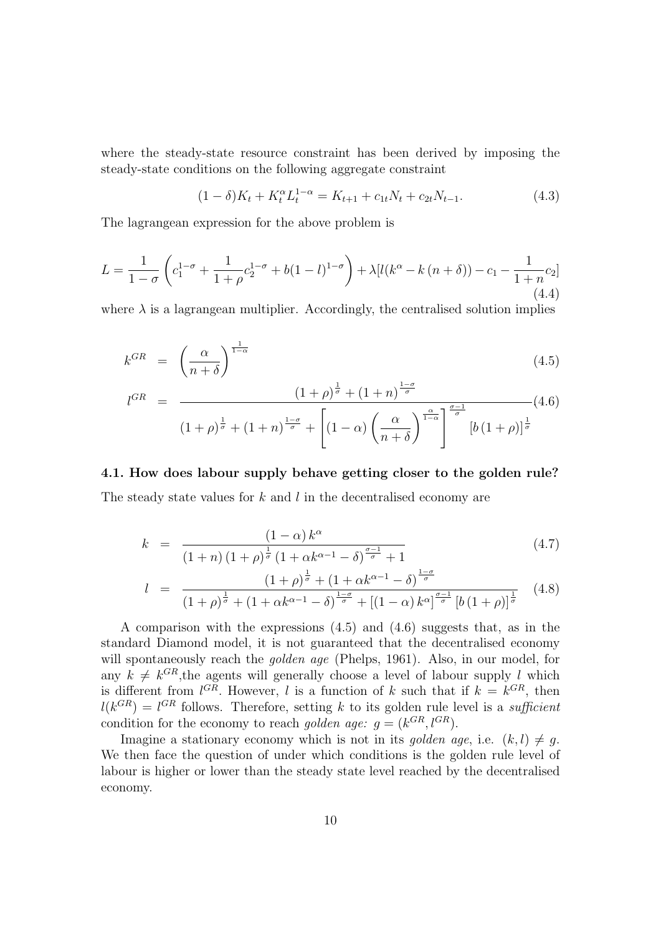where the steady-state resource constraint has been derived by imposing the steady-state conditions on the following aggregate constraint

$$
(1 - \delta)K_t + K_t^{\alpha} L_t^{1 - \alpha} = K_{t+1} + c_{1t} N_t + c_{2t} N_{t-1}.
$$
\n(4.3)

The lagrangean expression for the above problem is

$$
L = \frac{1}{1 - \sigma} \left( c_1^{1 - \sigma} + \frac{1}{1 + \rho} c_2^{1 - \sigma} + b(1 - l)^{1 - \sigma} \right) + \lambda [l(k^{\alpha} - k(n + \delta)) - c_1 - \frac{1}{1 + n} c_2]
$$
\n(4.4)

where  $\lambda$  is a lagrangean multiplier. Accordingly, the centralised solution implies

$$
k^{GR} = \left(\frac{\alpha}{n+\delta}\right)^{\frac{1}{1-\alpha}}
$$
\n(4.5)

$$
l^{GR} = \frac{\left(1+\rho\right)^{\frac{1}{\sigma}} + \left(1+n\right)^{\frac{1-\sigma}{\sigma}}}{\left(1+\rho\right)^{\frac{1}{\sigma}} + \left(1+n\right)^{\frac{1-\sigma}{\sigma}} + \left[\left(1-\alpha\right)\left(\frac{\alpha}{n+\delta}\right)^{\frac{\alpha}{1-\alpha}}\right]^{\frac{\sigma-1}{\sigma}} \left[b\left(1+\rho\right)\right]^{\frac{1}{\sigma}}}
$$
\n
$$
(4.6)
$$

4.1. How does labour supply behave getting closer to the golden rule? The steady state values for  $k$  and  $l$  in the decentralised economy are

$$
k = \frac{(1 - \alpha) k^{\alpha}}{(1 + n) (1 + \rho)^{\frac{1}{\sigma}} (1 + \alpha k^{\alpha - 1} - \delta)^{\frac{\sigma - 1}{\sigma}} + 1}
$$
(4.7)

$$
l = \frac{(1+\rho)^{\frac{1}{\sigma}} + (1+\alpha k^{\alpha-1}-\delta)^{\frac{1-\sigma}{\sigma}}}{(1+\rho)^{\frac{1}{\sigma}} + (1+\alpha k^{\alpha-1}-\delta)^{\frac{1-\sigma}{\sigma}} + [(1-\alpha) k^{\alpha}]^{\frac{\sigma-1}{\sigma}} [b(1+\rho)]^{\frac{1}{\sigma}}}
$$
(4.8)

A comparison with the expressions (4.5) and (4.6) suggests that, as in the standard Diamond model, it is not guaranteed that the decentralised economy will spontaneously reach the *golden age* (Phelps, 1961). Also, in our model, for any  $k \neq k^{GR}$ , the agents will generally choose a level of labour supply l which is different from  $l^{GR}$ . However, l is a function of k such that if  $k = k^{GR}$ , then  $l(k^{GR}) = l^{GR}$  follows. Therefore, setting k to its golden rule level is a sufficient condition for the economy to reach *golden age:*  $g = (k^{GR}, l^{GR})$ .

Imagine a stationary economy which is not in its golden age, i.e.  $(k, l) \neq q$ . We then face the question of under which conditions is the golden rule level of labour is higher or lower than the steady state level reached by the decentralised economy.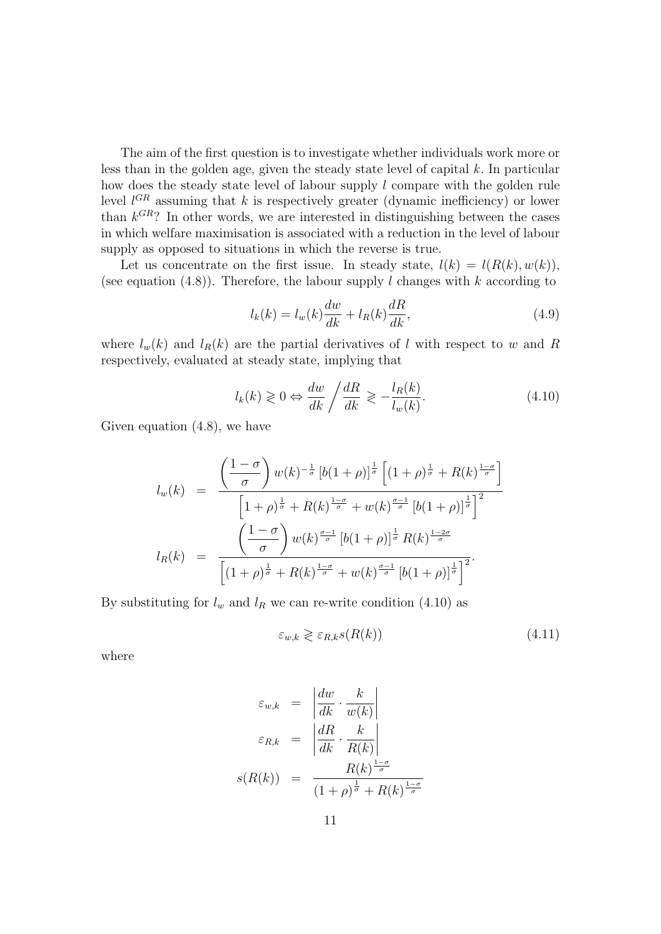The aim of the first question is to investigate whether individuals work more or less than in the golden age, given the steady state level of capital k. In particular how does the steady state level of labour supply l compare with the golden rule level  $l^{GR}$  assuming that k is respectively greater (dynamic inefficiency) or lower than  $k^{GR}$ ? In other words, we are interested in distinguishing between the cases in which welfare maximisation is associated with a reduction in the level of labour supply as opposed to situations in which the reverse is true.

Let us concentrate on the first issue. In steady state,  $l(k) = l(R(k), w(k)),$ (see equation  $(4.8)$ ). Therefore, the labour supply l changes with k according to

$$
l_k(k) = l_w(k)\frac{dw}{dk} + l_R(k)\frac{dR}{dk},
$$
\n(4.9)

where  $l_w(k)$  and  $l_R(k)$  are the partial derivatives of l with respect to w and R respectively, evaluated at steady state, implying that

$$
l_k(k) \geq 0 \Leftrightarrow \frac{dw}{dk} / \frac{dR}{dk} \geq -\frac{l_R(k)}{l_w(k)}.\tag{4.10}
$$

Given equation (4.8), we have

$$
l_w(k) = \frac{\left(\frac{1-\sigma}{\sigma}\right)w(k)^{-\frac{1}{\sigma}}\left[b(1+\rho)\right]^{\frac{1}{\sigma}}\left[(1+\rho)^{\frac{1}{\sigma}}+R(k)^{\frac{1-\sigma}{\sigma}}\right]}{\left[1+\rho)^{\frac{1}{\sigma}}+R(k)^{\frac{1-\sigma}{\sigma}}+w(k)^{\frac{\sigma-1}{\sigma}}\left[b(1+\rho)\right]^{\frac{1}{\sigma}}\right]^2}
$$

$$
l_R(k) = \frac{\left(\frac{1-\sigma}{\sigma}\right)w(k)^{\frac{\sigma-1}{\sigma}}\left[b(1+\rho)\right]^{\frac{1}{\sigma}}R(k)^{\frac{1-2\sigma}{\sigma}}}{\left[(1+\rho)^{\frac{1}{\sigma}}+R(k)^{\frac{1-\sigma}{\sigma}}+w(k)^{\frac{\sigma-1}{\sigma}}\left[b(1+\rho)\right]^{\frac{1}{\sigma}}\right]^2}.
$$

By substituting for  $l_w$  and  $l_R$  we can re-write condition (4.10) as

$$
\varepsilon_{w,k} \geqslant \varepsilon_{R,k} s(R(k))\tag{4.11}
$$

where

$$
\varepsilon_{w,k} = \left| \frac{dw}{dk} \cdot \frac{k}{w(k)} \right|
$$

$$
\varepsilon_{R,k} = \left| \frac{dR}{dk} \cdot \frac{k}{R(k)} \right|
$$

$$
s(R(k)) = \frac{R(k)^{\frac{1-\sigma}{\sigma}}}{(1+\rho)^{\frac{1}{\sigma}} + R(k)^{\frac{1-\sigma}{\sigma}}}
$$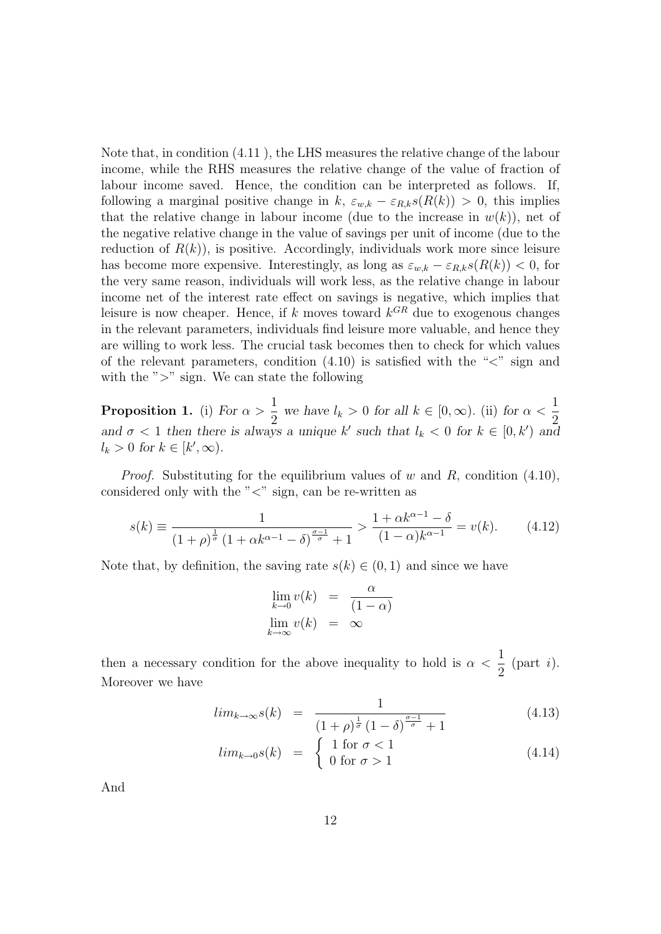Note that, in condition (4.11 ), the LHS measures the relative change of the labour income, while the RHS measures the relative change of the value of fraction of labour income saved. Hence, the condition can be interpreted as follows. If, following a marginal positive change in k,  $\varepsilon_{w,k} - \varepsilon_{R,k} s(R(k)) > 0$ , this implies that the relative change in labour income (due to the increase in  $w(k)$ ), net of the negative relative change in the value of savings per unit of income (due to the reduction of  $R(k)$ , is positive. Accordingly, individuals work more since leisure has become more expensive. Interestingly, as long as  $\varepsilon_{w,k} - \varepsilon_{R,k} s(R(k)) < 0$ , for the very same reason, individuals will work less, as the relative change in labour income net of the interest rate effect on savings is negative, which implies that leisure is now cheaper. Hence, if k moves toward  $k^{GR}$  due to exogenous changes in the relevant parameters, individuals find leisure more valuable, and hence they are willing to work less. The crucial task becomes then to check for which values of the relevant parameters, condition  $(4.10)$  is satisfied with the " $\lt$ " sign and with the " $>$ " sign. We can state the following

**Proposition 1.** (i) For  $\alpha >$ 1  $\frac{1}{2}$  we have  $l_k > 0$  for all  $k \in [0, \infty)$ . (ii) for  $\alpha < \frac{1}{2}$ 2 and  $\sigma$  < 1 then there is always a unique k' such that  $l_k$  < 0 for  $k \in [0, k')$  and  $l_k > 0$  for  $k \in [k', \infty)$ .

*Proof.* Substituting for the equilibrium values of w and  $R$ , condition (4.10), considered only with the " $\lt$ " sign, can be re-written as

$$
s(k) \equiv \frac{1}{(1+\rho)^{\frac{1}{\sigma}} \left(1 + \alpha k^{\alpha - 1} - \delta\right)^{\frac{\sigma - 1}{\sigma}} + 1} > \frac{1 + \alpha k^{\alpha - 1} - \delta}{(1 - \alpha)k^{\alpha - 1}} = v(k). \tag{4.12}
$$

Note that, by definition, the saving rate  $s(k) \in (0,1)$  and since we have

$$
\lim_{k \to 0} v(k) = \frac{\alpha}{(1 - \alpha)}
$$
  

$$
\lim_{k \to \infty} v(k) = \infty
$$

then a necessary condition for the above inequality to hold is  $\alpha$ 1 2  $(part i).$ Moreover we have

$$
lim_{k \to \infty} s(k) = \frac{1}{(1+\rho)^{\frac{1}{\sigma}} (1-\delta)^{\frac{\sigma-1}{\sigma}} + 1}
$$
(4.13)

$$
lim_{k \to 0} s(k) = \begin{cases} 1 \text{ for } \sigma < 1 \\ 0 \text{ for } \sigma > 1 \end{cases}
$$
 (4.14)

And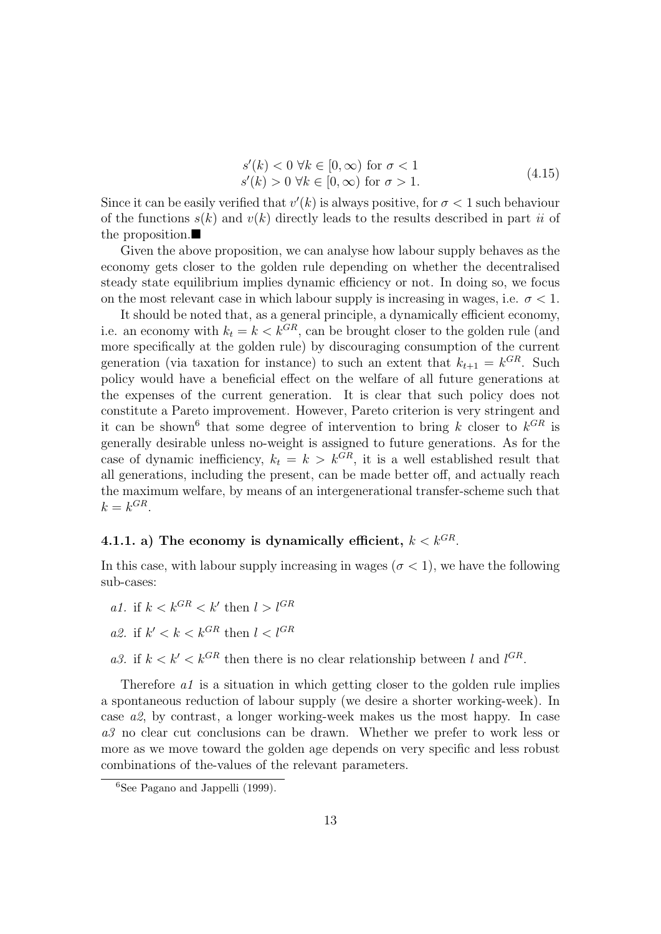$$
s'(k) < 0 \ \forall k \in [0, \infty) \text{ for } \sigma < 1
$$
\n
$$
s'(k) > 0 \ \forall k \in [0, \infty) \text{ for } \sigma > 1.
$$
\n
$$
\tag{4.15}
$$

Since it can be easily verified that  $v'(k)$  is always positive, for  $\sigma < 1$  such behaviour of the functions  $s(k)$  and  $v(k)$  directly leads to the results described in part ii of the proposition.

Given the above proposition, we can analyse how labour supply behaves as the economy gets closer to the golden rule depending on whether the decentralised steady state equilibrium implies dynamic efficiency or not. In doing so, we focus on the most relevant case in which labour supply is increasing in wages, i.e.  $\sigma < 1$ .

It should be noted that, as a general principle, a dynamically efficient economy, i.e. an economy with  $k_t = k \lt k^{GR}$ , can be brought closer to the golden rule (and more specifically at the golden rule) by discouraging consumption of the current generation (via taxation for instance) to such an extent that  $k_{t+1} = k^{GR}$ . Such policy would have a beneficial effect on the welfare of all future generations at the expenses of the current generation. It is clear that such policy does not constitute a Pareto improvement. However, Pareto criterion is very stringent and it can be shown<sup>6</sup> that some degree of intervention to bring k closer to  $k^{GR}$  is generally desirable unless no-weight is assigned to future generations. As for the case of dynamic inefficiency,  $k_t = k > k^{GR}$ , it is a well established result that all generations, including the present, can be made better off, and actually reach the maximum welfare, by means of an intergenerational transfer-scheme such that  $k = k^{GR}$ .

## 4.1.1. a) The economy is dynamically efficient,  $k < k^{GR}$ .

In this case, with labour supply increasing in wages ( $\sigma < 1$ ), we have the following sub-cases:

a1. if  $k < k^{GR} < k'$  then  $l > l^{GR}$ 

a2. if 
$$
k' < k < k^{GR}
$$
 then  $l < l^{GR}$ 

a3. if  $k < k' < k^{GR}$  then there is no clear relationship between l and  $l^{GR}$ .

Therefore  $a_1$  is a situation in which getting closer to the golden rule implies a spontaneous reduction of labour supply (we desire a shorter working-week). In case a2, by contrast, a longer working-week makes us the most happy. In case a3 no clear cut conclusions can be drawn. Whether we prefer to work less or more as we move toward the golden age depends on very specific and less robust combinations of the-values of the relevant parameters.

 $6$ See Pagano and Jappelli (1999).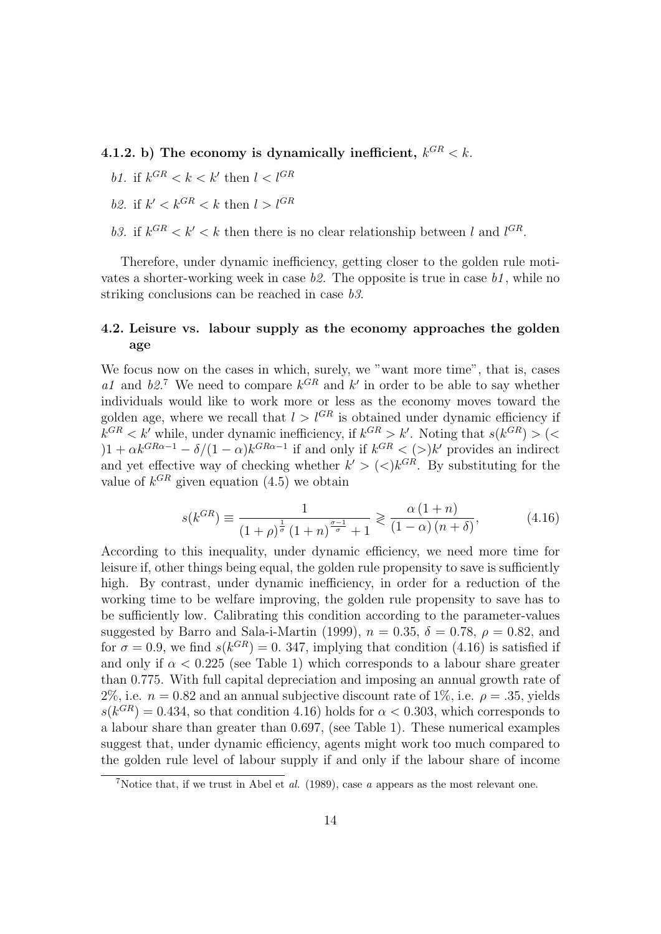- 4.1.2. b) The economy is dynamically inefficient,  $k^{GR} < k$ .
	- b1. if  $k^{GR} < k < k'$  then  $l < l^{GR}$
	- b2. if  $k' < k^{GR} < k$  then  $l > l^{GR}$
	- b3. if  $k^{GR} < k' < k$  then there is no clear relationship between l and  $l^{GR}$ .

Therefore, under dynamic inefficiency, getting closer to the golden rule motivates a shorter-working week in case  $b2$ . The opposite is true in case  $b1$ , while no striking conclusions can be reached in case b3.

### 4.2. Leisure vs. labour supply as the economy approaches the golden age

We focus now on the cases in which, surely, we "want more time", that is, cases a1 and  $b2$ <sup>7</sup>. We need to compare  $k$ <sup>GR</sup> and  $k'$  in order to be able to say whether individuals would like to work more or less as the economy moves toward the golden age, where we recall that  $l > l^{GR}$  is obtained under dynamic efficiency if  $k^{GR} < k'$  while, under dynamic inefficiency, if  $k^{GR} > k'$ . Noting that  $s(k^{GR}) > ($  $(1 + \alpha k^{GR\alpha - 1} - \delta/(1 - \alpha)k^{GR\alpha - 1})$  if and only if  $k^{GR} < (>)k'$  provides an indirect and yet effective way of checking whether  $k' > (\langle k^{GR} \rangle$ . By substituting for the value of  $k^{GR}$  given equation  $(4.5)$  we obtain

$$
s(k^{GR}) \equiv \frac{1}{\left(1+\rho\right)^{\frac{1}{\sigma}}\left(1+n\right)^{\frac{\sigma-1}{\sigma}}+1} \gtrless \frac{\alpha\left(1+n\right)}{\left(1-\alpha\right)\left(n+\delta\right)},\tag{4.16}
$$

According to this inequality, under dynamic efficiency, we need more time for leisure if, other things being equal, the golden rule propensity to save is sufficiently high. By contrast, under dynamic inefficiency, in order for a reduction of the working time to be welfare improving, the golden rule propensity to save has to be sufficiently low. Calibrating this condition according to the parameter-values suggested by Barro and Sala-i-Martin (1999),  $n = 0.35$ ,  $\delta = 0.78$ ,  $\rho = 0.82$ , and for  $\sigma = 0.9$ , we find  $s(k^{GR}) = 0.347$ , implying that condition (4.16) is satisfied if and only if  $\alpha$  < 0.225 (see Table 1) which corresponds to a labour share greater than 0.775. With full capital depreciation and imposing an annual growth rate of 2%, i.e.  $n = 0.82$  and an annual subjective discount rate of 1%, i.e.  $\rho = .35$ , yields  $s(k^{GR}) = 0.434$ , so that condition 4.16) holds for  $\alpha < 0.303$ , which corresponds to a labour share than greater than 0.697, (see Table 1). These numerical examples suggest that, under dynamic efficiency, agents might work too much compared to the golden rule level of labour supply if and only if the labour share of income

 $^{7}$ Notice that, if we trust in Abel et al. (1989), case a appears as the most relevant one.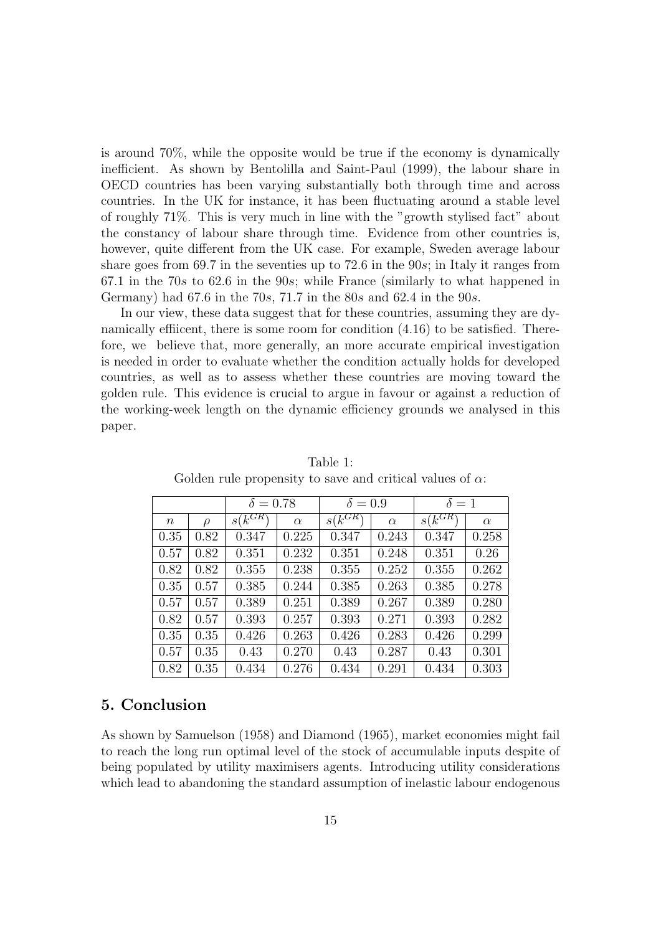is around 70%, while the opposite would be true if the economy is dynamically inefficient. As shown by Bentolilla and Saint-Paul (1999), the labour share in OECD countries has been varying substantially both through time and across countries. In the UK for instance, it has been fluctuating around a stable level of roughly 71%. This is very much in line with the "growth stylised fact" about the constancy of labour share through time. Evidence from other countries is, however, quite different from the UK case. For example, Sweden average labour share goes from 69.7 in the seventies up to 72.6 in the 90s; in Italy it ranges from 67.1 in the 70s to 62.6 in the 90s; while France (similarly to what happened in Germany) had  $67.6$  in the  $70s$ ,  $71.7$  in the  $80s$  and  $62.4$  in the  $90s$ .

In our view, these data suggest that for these countries, assuming they are dynamically effiicent, there is some room for condition (4.16) to be satisfied. Therefore, we believe that, more generally, an more accurate empirical investigation is needed in order to evaluate whether the condition actually holds for developed countries, as well as to assess whether these countries are moving toward the golden rule. This evidence is crucial to argue in favour or against a reduction of the working-week length on the dynamic efficiency grounds we analysed in this paper.

|                  |        | $\delta = 0.78$        |          | $\delta = 0.9$         |          | $\delta=1$             |          |
|------------------|--------|------------------------|----------|------------------------|----------|------------------------|----------|
| $\boldsymbol{n}$ | $\rho$ | $s(k^{\overline{GR}})$ | $\alpha$ | $s(\overline{k^{GR}})$ | $\alpha$ | $s(k^{\overline{GR}})$ | $\alpha$ |
| 0.35             | 0.82   | 0.347                  | 0.225    | 0.347                  | 0.243    | 0.347                  | 0.258    |
| 0.57             | 0.82   | 0.351                  | 0.232    | 0.351                  | 0.248    | 0.351                  | 0.26     |
| 0.82             | 0.82   | 0.355                  | 0.238    | 0.355                  | 0.252    | 0.355                  | 0.262    |
| 0.35             | 0.57   | 0.385                  | 0.244    | 0.385                  | 0.263    | 0.385                  | 0.278    |
| 0.57             | 0.57   | 0.389                  | 0.251    | 0.389                  | 0.267    | 0.389                  | 0.280    |
| 0.82             | 0.57   | 0.393                  | 0.257    | 0.393                  | 0.271    | 0.393                  | 0.282    |
| 0.35             | 0.35   | 0.426                  | 0.263    | 0.426                  | 0.283    | 0.426                  | 0.299    |
| 0.57             | 0.35   | 0.43                   | 0.270    | 0.43                   | 0.287    | 0.43                   | 0.301    |
| 0.82             | 0.35   | 0.434                  | 0.276    | 0.434                  | 0.291    | 0.434                  | 0.303    |

Table 1: Golden rule propensity to save and critical values of  $\alpha$ :

### 5. Conclusion

As shown by Samuelson (1958) and Diamond (1965), market economies might fail to reach the long run optimal level of the stock of accumulable inputs despite of being populated by utility maximisers agents. Introducing utility considerations which lead to abandoning the standard assumption of inelastic labour endogenous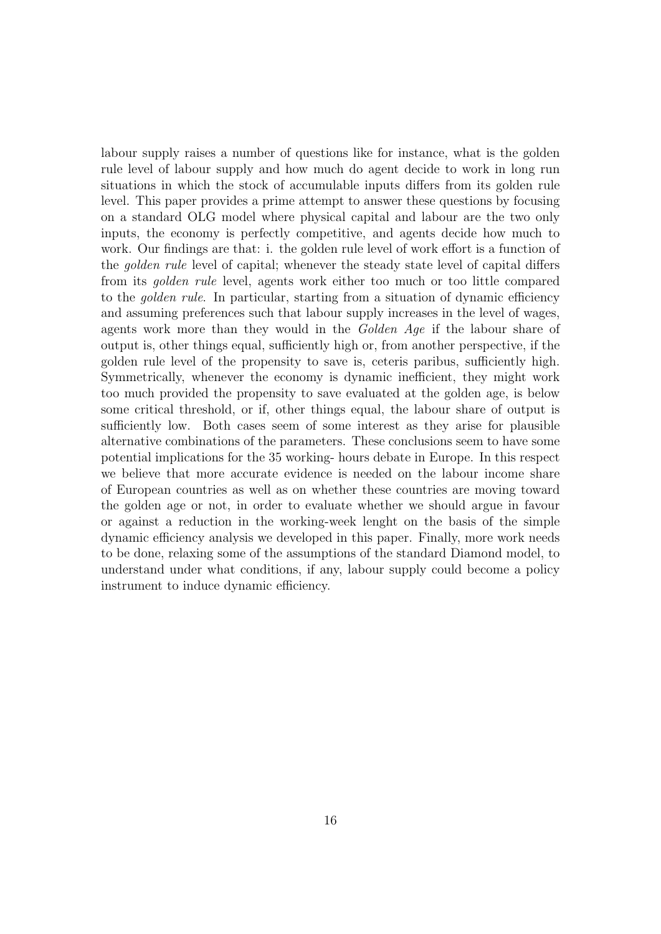labour supply raises a number of questions like for instance, what is the golden rule level of labour supply and how much do agent decide to work in long run situations in which the stock of accumulable inputs differs from its golden rule level. This paper provides a prime attempt to answer these questions by focusing on a standard OLG model where physical capital and labour are the two only inputs, the economy is perfectly competitive, and agents decide how much to work. Our findings are that: i. the golden rule level of work effort is a function of the golden rule level of capital; whenever the steady state level of capital differs from its golden rule level, agents work either too much or too little compared to the golden rule. In particular, starting from a situation of dynamic efficiency and assuming preferences such that labour supply increases in the level of wages, agents work more than they would in the *Golden Aqe* if the labour share of output is, other things equal, sufficiently high or, from another perspective, if the golden rule level of the propensity to save is, ceteris paribus, sufficiently high. Symmetrically, whenever the economy is dynamic inefficient, they might work too much provided the propensity to save evaluated at the golden age, is below some critical threshold, or if, other things equal, the labour share of output is sufficiently low. Both cases seem of some interest as they arise for plausible alternative combinations of the parameters. These conclusions seem to have some potential implications for the 35 working- hours debate in Europe. In this respect we believe that more accurate evidence is needed on the labour income share of European countries as well as on whether these countries are moving toward the golden age or not, in order to evaluate whether we should argue in favour or against a reduction in the working-week lenght on the basis of the simple dynamic efficiency analysis we developed in this paper. Finally, more work needs to be done, relaxing some of the assumptions of the standard Diamond model, to understand under what conditions, if any, labour supply could become a policy instrument to induce dynamic efficiency.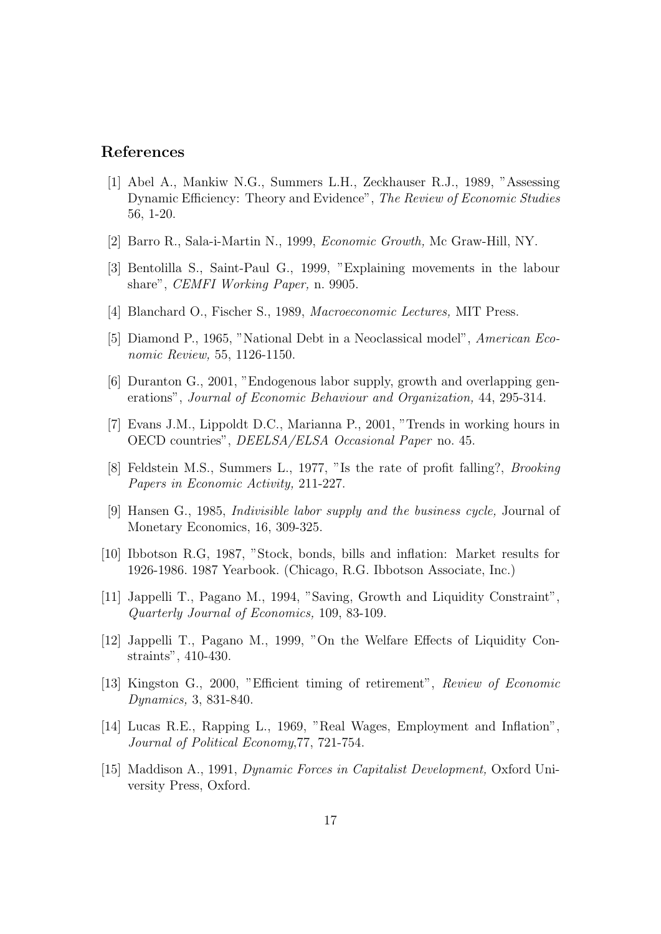### References

- [1] Abel A., Mankiw N.G., Summers L.H., Zeckhauser R.J., 1989, "Assessing Dynamic Efficiency: Theory and Evidence", The Review of Economic Studies 56, 1-20.
- [2] Barro R., Sala-i-Martin N., 1999, Economic Growth, Mc Graw-Hill, NY.
- [3] Bentolilla S., Saint-Paul G., 1999, "Explaining movements in the labour share", CEMFI Working Paper, n. 9905.
- [4] Blanchard O., Fischer S., 1989, Macroeconomic Lectures, MIT Press.
- [5] Diamond P., 1965, "National Debt in a Neoclassical model", American Economic Review, 55, 1126-1150.
- [6] Duranton G., 2001, "Endogenous labor supply, growth and overlapping generations", Journal of Economic Behaviour and Organization, 44, 295-314.
- [7] Evans J.M., Lippoldt D.C., Marianna P., 2001, "Trends in working hours in OECD countries", DEELSA/ELSA Occasional Paper no. 45.
- [8] Feldstein M.S., Summers L., 1977, "Is the rate of profit falling?, Brooking Papers in Economic Activity, 211-227.
- [9] Hansen G., 1985, Indivisible labor supply and the business cycle, Journal of Monetary Economics, 16, 309-325.
- [10] Ibbotson R.G, 1987, "Stock, bonds, bills and inflation: Market results for 1926-1986. 1987 Yearbook. (Chicago, R.G. Ibbotson Associate, Inc.)
- [11] Jappelli T., Pagano M., 1994, "Saving, Growth and Liquidity Constraint", Quarterly Journal of Economics, 109, 83-109.
- [12] Jappelli T., Pagano M., 1999, "On the Welfare Effects of Liquidity Constraints", 410-430.
- [13] Kingston G., 2000, "Efficient timing of retirement", Review of Economic Dynamics, 3, 831-840.
- [14] Lucas R.E., Rapping L., 1969, "Real Wages, Employment and Inflation", Journal of Political Economy,77, 721-754.
- [15] Maddison A., 1991, Dynamic Forces in Capitalist Development, Oxford University Press, Oxford.